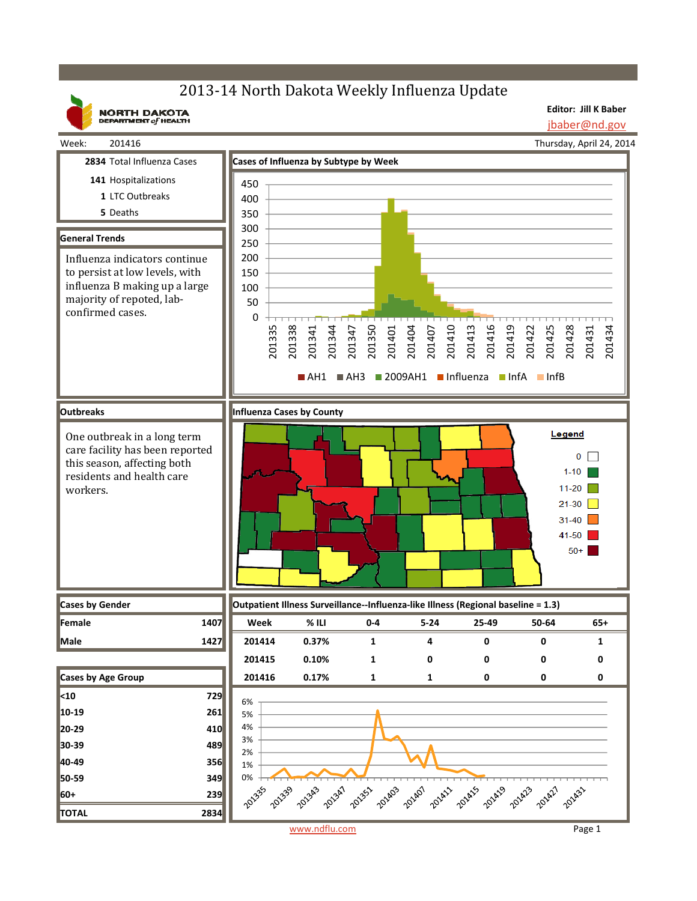## 2013-14 North Dakota Weekly Influenza Update

**NORTH DAKOTA**<br>DEPARTMENT of HEALTH

**Editor: Jill K Baber** jbaber@nd.gov